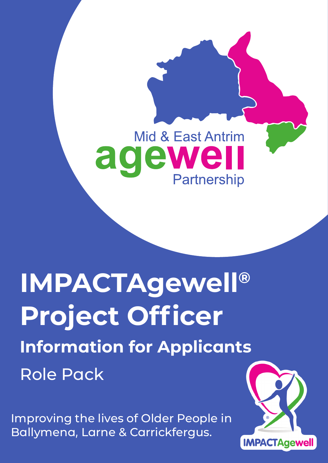# Mid & East Antrim agewe **Partnership**

# **IMPACTAgewell® Project Officer Information for Applicants** Role Pack

Improving the lives of Older People in Ballymena, Larne & Carrickfergus.

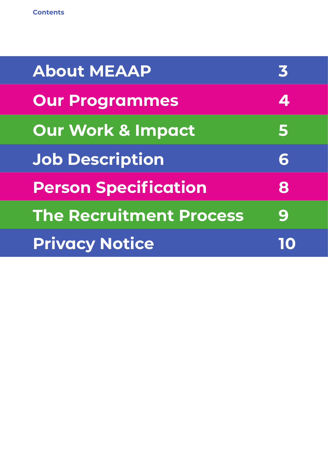| <b>About MEAAP</b>             | 3 |
|--------------------------------|---|
| <b>Our Programmes</b>          | 4 |
| Our Work & Impact              | 5 |
| <b>Job Description</b>         | 6 |
| <b>Person Specification</b>    | 8 |
| <b>The Recruitment Process</b> | 9 |
| <b>Privacy Notice</b>          |   |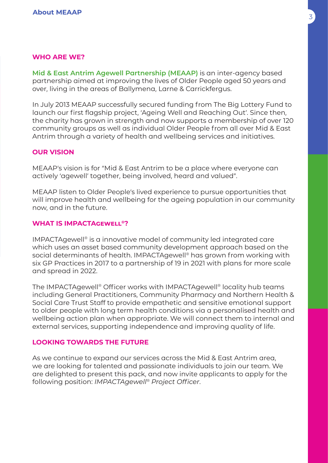# **Who are we?**

**Mid & East Antrim Agewell Partnership (MEAAP)** is an inter-agency based partnership aimed at improving the lives of Older People aged 50 years and over, living in the areas of Ballymena, Larne & Carrickfergus.

In July 2013 MEAAP successfully secured funding from The Big Lottery Fund to launch our first flagship project, 'Ageing Well and Reaching Out'. Since then, the charity has grown in strength and now supports a membership of over 120 community groups as well as individual Older People from all over Mid & East Antrim through a variety of health and wellbeing services and initiatives.

#### **Our Vision**

MEAAP's vision is for "Mid & East Antrim to be a place where everyone can actively 'agewell' together, being involved, heard and valued".

MEAAP listen to Older People's lived experience to pursue opportunities that will improve health and wellbeing for the ageing population in our community now, and in the future.

# **What is IMPACTAgewell®?**

IMPACTAgewell® is a innovative model of community led integrated care which uses an asset based community development approach based on the social determinants of health. IMPACTAgewell® has grown from working with six GP Practices in 2017 to a partnership of 19 in 2021 with plans for more scale and spread in 2022.

The IMPACTAgewell® Officer works with IMPACTAgewell® locality hub teams including General Practitioners, Community Pharmacy and Northern Health & Social Care Trust Staff to provide empathetic and sensitive emotional support to older people with long term health conditions via a personalised health and wellbeing action plan when appropriate. We will connect them to internal and external services, supporting independence and improving quality of life.

# **Looking Towards the Future**

As we continue to expand our services across the Mid & East Antrim area, we are looking for talented and passionate individuals to join our team. We are delighted to present this pack, and now invite applicants to apply for the following position: *IMPACTAgewell® Project Officer*.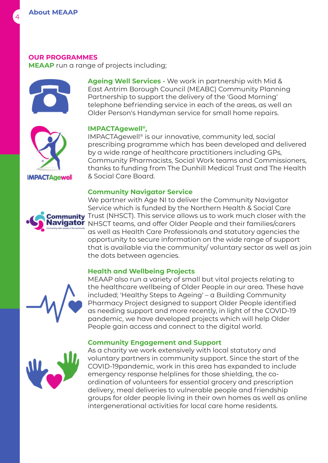#### **Our Programmes**

**MEAAP** run a range of projects including;





#### **IMPACTAgewell®,**

IMPACTAgewell® is our innovative, community led, social prescribing programme which has been developed and delivered by a wide range of healthcare practitioners including GPs, Community Pharmacists, Social Work teams and Commissioners, thanks to funding from The Dunhill Medical Trust and The Health & Social Care Board.

#### **Community Navigator Service**



**IMPACTAgewell** 

We partner with Age NI to deliver the Community Navigator Service which is funded by the Northern Health & Social Care ommunity Trust (NHSCT). This service allows us to work much closer with the NHSCT teams, and offer Older People and their families/carers as well as Health Care Professionals and statutory agencies the opportunity to secure information on the wide range of support that is available via the community/ voluntary sector as well as join the dots between agencies.

#### **Health and Wellbeing Projects**



MEAAP also run a variety of small but vital projects relating to the healthcare wellbeing of Older People in our area. These have included; 'Healthy Steps to Ageing' – a Building Community Pharmacy Project designed to support Older People identified as needing support and more recently, in light of the COVID-19 pandemic, we have developed projects which will help Older People gain access and connect to the digital world.

#### **Community Engagement and Support**



As a charity we work extensively with local statutory and voluntary partners in community support. Since the start of the COVID-19pandemic, work in this area has expanded to include emergency response helplines for those shielding, the coordination of volunteers for essential grocery and prescription delivery, meal deliveries to vulnerable people and friendship groups for older people living in their own homes as well as online intergenerational activities for local care home residents.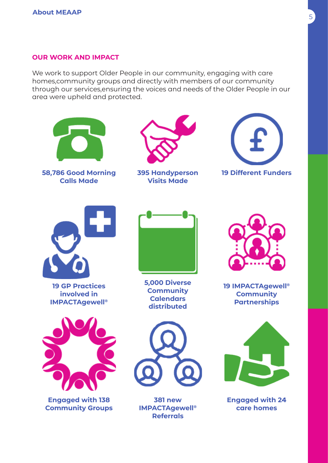#### **Our Work and Impact**

We work to support Older People in our community, engaging with care homes,community groups and directly with members of our community through our services,ensuring the voices and needs of the Older People in our area were upheld and protected.

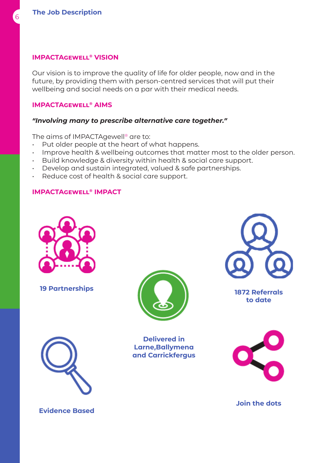#### **IMPACTAgewell® Vision**

Our vision is to improve the quality of life for older people, now and in the future, by providing them with person-centred services that will put their wellbeing and social needs on a par with their medical needs.

#### **IMPACTAgewell® Aims**

#### *"Involving many to prescribe alternative care together."*

The aims of IMPACTAgewell® are to:

- Put older people at the heart of what happens.
- Improve health & wellbeing outcomes that matter most to the older person.
- Build knowledge & diversity within health & social care support.
- Develop and sustain integrated, valued & safe partnerships.
- Reduce cost of health & social care support.

#### **IMPACTAgewell® IMPACT**





**Delivered in Larne,Ballymena and Carrickfergus**



**to date**





**Join the dots**

**Evidence Based**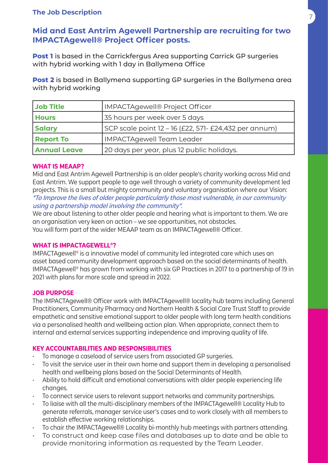# <sup>7</sup> **The Job Description**

# **Mid and East Antrim Agewell Partnership are recruiting for two IMPACTAgewell® Project Officer posts.**

**Post 1** is based in the Carrickfergus Area supporting Carrick GP surgeries with hybrid working with 1 day in Ballymena Office

**Post 2** is based in Ballymena supporting GP surgeries in the Ballymena area with hybrid working

| Job Title           | <b>IMPACTAgewell® Project Officer</b>                 |
|---------------------|-------------------------------------------------------|
| <b>Hours</b>        | 35 hours per week over 5 days                         |
| <b>Salary</b>       | SCP scale point 12 - 16 (£22, 571- £24,432 per annum) |
| <b>Report To</b>    | <b>IMPACTAgewell Team Leader</b>                      |
| <b>Annual Leave</b> | 20 days per year, plus 12 public holidays.            |

#### **What is MEAAP?**

Mid and East Antrim Agewell Partnership is an older people's charity working across Mid and East Antrim. We support people to age well through a variety of community development led projects. This is a small but mighty community and voluntary organisation where our Vision: "To Improve the lives of older people particularly those most vulnerable, in our community using a partnership model involving the community".

We are about listening to other older people and hearing what is important to them. We are an organisation very keen on action – we see opportunities, not obstacles. You will form part of the wider MEAAP team as an IMPACTAgewell® Officer.

#### **What is IMPACTAgewell®?**

IMPACTAgewell® is a innovative model of community led integrated care which uses an asset based community development approach based on the social determinants of health. IMPACTAgewell® has grown from working with six GP Practices in 2017 to a partnership of 19 in 2021 with plans for more scale and spread in 2022.

#### **Job Purpose**

The IMPACTAgewell® Officer work with IMPACTAgewell® locality hub teams including General Practitioners, Community Pharmacy and Northern Health & Social Care Trust Staff to provide empathetic and sensitive emotional support to older people with long term health conditions via a personalised health and wellbeing action plan. When appropriate, connect them to internal and external services supporting independence and improving quality of life.

#### **Key Accountabilities and Responsibilities**

- To manage a caseload of service users from associated GP surgeries.
- To visit the service user in their own home and support them in developing a personalised health and wellbeing plans based on the Social Determinants of Health.
- Ability to hold difficult and emotional conversations with older people experiencing life changes.
- To connect service users to relevant support networks and community partnerships.
- To liaise with all the multi-disciplinary members of the IMPACTAgewell® Locality Hub to generate referrals, manager service user's cases and to work closely with all members to establish effective working relationships.
- To chair the IMPACTAgewell® Locality bi-monthly hub meetings with partners attending.
- To construct and keep case files and databases up to date and be able to provide monitoring information as requested by the Team Leader.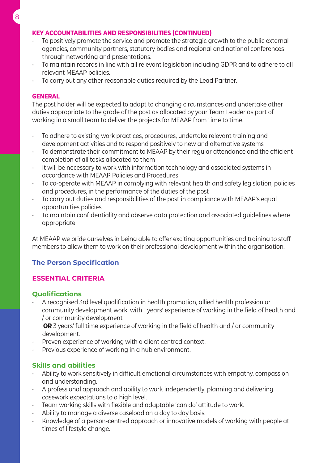# **Key Accountabilities and Responsibilities (continued)**

- To positively promote the service and promote the strategic growth to the public external agencies, community partners, statutory bodies and regional and national conferences through networking and presentations.
- To maintain records in line with all relevant legislation including GDPR and to adhere to all relevant MEAAP policies.
- To carry out any other reasonable duties required by the Lead Partner.

#### **General**

The post holder will be expected to adapt to changing circumstances and undertake other duties appropriate to the grade of the post as allocated by your Team Leader as part of working in a small team to deliver the projects for MEAAP from time to time.

- To adhere to existing work practices, procedures, undertake relevant training and development activities and to respond positively to new and alternative systems
- To demonstrate their commitment to MEAAP by their regular attendance and the efficient completion of all tasks allocated to them
- It will be necessary to work with information technology and associated systems in accordance with MEAAP Policies and Procedures
- To co-operate with MEAAP in complying with relevant health and safety legislation, policies and procedures, in the performance of the duties of the post
- To carry out duties and responsibilities of the post in compliance with MEAAP's equal opportunities policies
- To maintain confidentiality and observe data protection and associated guidelines where appropriate

At MEAAP we pride ourselves in being able to offer exciting opportunities and training to staff members to allow them to work on their professional development within the organisation.

# **The Person Specification**

# **Essential Criteria**

# **Qualifications**

• A recognised 3rd level qualification in health promotion, allied health profession or community development work, with 1 years' experience of working in the field of health and / or community development

 **OR** 3 years' full time experience of working in the field of health and / or community development.

- Proven experience of working with a client centred context.
- Previous experience of working in a hub environment.

# **Skills and abilities**

- Ability to work sensitively in difficult emotional circumstances with empathy, compassion and understanding.
- A professional approach and ability to work independently, planning and delivering casework expectations to a high level.
- Team working skills with flexible and adaptable 'can do' attitude to work.
- Ability to manage a diverse caseload on a day to day basis.
- Knowledge of a person-centred approach or innovative models of working with people at times of lifestyle change.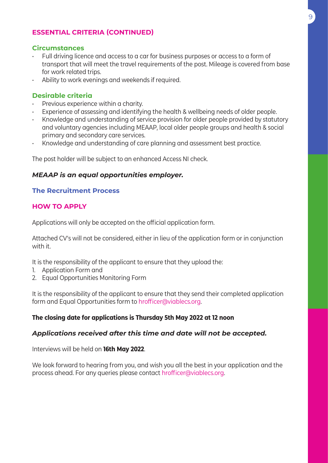# **Essential Criteria (Continued)**

#### **Circumstances**

- Full driving licence and access to a car for business purposes or access to a form of transport that will meet the travel requirements of the post. Mileage is covered from base for work related trips.
- Ability to work evenings and weekends if required.

#### **Desirable criteria**

- Previous experience within a charity.
- Experience of assessing and identifying the health & wellbeing needs of older people.
- Knowledge and understanding of service provision for older people provided by statutory and voluntary agencies including MEAAP, local older people groups and health & social primary and secondary care services.
- Knowledge and understanding of care planning and assessment best practice.

The post holder will be subject to an enhanced Access NI check.

#### *MEAAP is an equal opportunities employer.*

#### **The Recruitment Process**

#### **How to apply**

Applications will only be accepted on the official application form.

Attached CV's will not be considered, either in lieu of the application form or in conjunction with it.

It is the responsibility of the applicant to ensure that they upload the:

- 1. Application Form and
- 2. Equal Opportunities Monitoring Form

It is the responsibility of the applicant to ensure that they send their completed application form and Equal Opportunities form to hrofficer@viablecs.org.

#### **The closing date for applications is Thursday 5th May 2022 at 12 noon**

#### *Applications received after this time and date will not be accepted.*

Interviews will be held on **16th May 2022**.

We look forward to hearing from you, and wish you all the best in your application and the process ahead. For any queries please contact hrofficer@viablecs.org.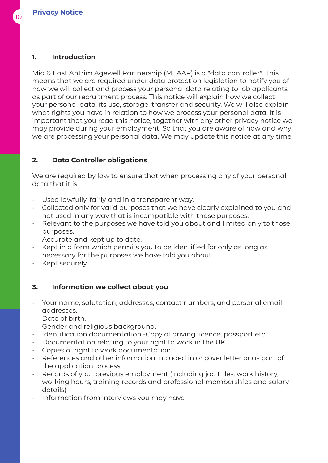# **1. Introduction**

Mid & East Antrim Agewell Partnership (MEAAP) is a "data controller". This means that we are required under data protection legislation to notify you of how we will collect and process your personal data relating to job applicants as part of our recruitment process. This notice will explain how we collect your personal data, its use, storage, transfer and security. We will also explain what rights you have in relation to how we process your personal data. It is important that you read this notice, together with any other privacy notice we may provide during your employment. So that you are aware of how and why we are processing your personal data. We may update this notice at any time.

# **2. Data Controller obligations**

We are required by law to ensure that when processing any of your personal data that it is:

- Used lawfully, fairly and in a transparent way.
- Collected only for valid purposes that we have clearly explained to you and not used in any way that is incompatible with those purposes.
- Relevant to the purposes we have told you about and limited only to those purposes.
- Accurate and kept up to date.
- Kept in a form which permits you to be identified for only as long as necessary for the purposes we have told you about.
- Kept securely.

# **3. Information we collect about you**

- Your name, salutation, addresses, contact numbers, and personal email addresses.
- Date of birth.
- Gender and religious background.
- Identification documentation -Copy of driving licence, passport etc
- Documentation relating to your right to work in the UK
- Copies of right to work documentation
- References and other information included in or cover letter or as part of the application process.
- Records of your previous employment (including job titles, work history, working hours, training records and professional memberships and salary details)
- Information from interviews you may have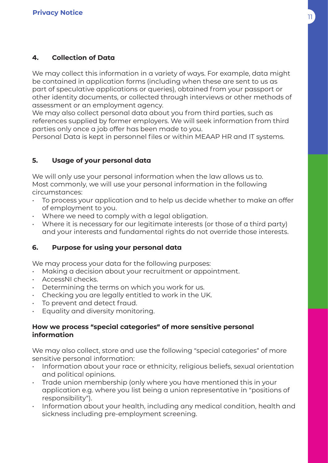# **4. Collection of Data**

We may collect this information in a variety of ways. For example, data might be contained in application forms (including when these are sent to us as part of speculative applications or queries), obtained from your passport or other identity documents, or collected through interviews or other methods of assessment or an employment agency.

We may also collect personal data about you from third parties, such as references supplied by former employers. We will seek information from third parties only once a job offer has been made to you.

Personal Data is kept in personnel files or within MEAAP HR and IT systems.

# **5. Usage of your personal data**

We will only use your personal information when the law allows us to. Most commonly, we will use your personal information in the following circumstances:

- To process your application and to help us decide whether to make an offer of employment to you.
- Where we need to comply with a legal obligation.
- Where it is necessary for our legitimate interests (or those of a third party) and your interests and fundamental rights do not override those interests.

# **6. Purpose for using your personal data**

We may process your data for the following purposes:

- Making a decision about your recruitment or appointment.
- AccessNI checks.
- Determining the terms on which you work for us.
- Checking you are legally entitled to work in the UK.
- To prevent and detect fraud.
- Equality and diversity monitoring.

# **How we process "special categories" of more sensitive personal information**

We may also collect, store and use the following "special categories" of more sensitive personal information:

- Information about your race or ethnicity, religious beliefs, sexual orientation and political opinions.
- Trade union membership (only where you have mentioned this in your application e.g. where you list being a union representative in "positions of responsibility").
- Information about your health, including any medical condition, health and sickness including pre-employment screening.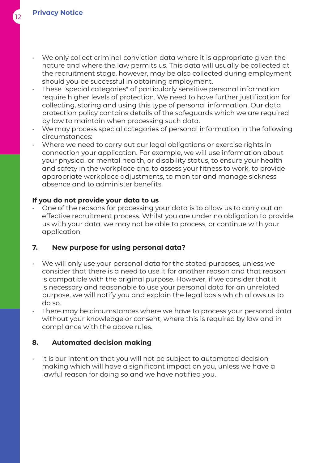- We only collect criminal conviction data where it is appropriate given the nature and where the law permits us. This data will usually be collected at the recruitment stage, however, may be also collected during employment should you be successful in obtaining employment.
- These "special categories" of particularly sensitive personal information require higher levels of protection. We need to have further justification for collecting, storing and using this type of personal information. Our data protection policy contains details of the safeguards which we are required by law to maintain when processing such data.
- We may process special categories of personal information in the following circumstances:
- Where we need to carry out our legal obligations or exercise rights in connection your application. For example, we will use information about your physical or mental health, or disability status, to ensure your health and safety in the workplace and to assess your fitness to work, to provide appropriate workplace adjustments, to monitor and manage sickness absence and to administer benefits

# **If you do not provide your data to us**

• One of the reasons for processing your data is to allow us to carry out an effective recruitment process. Whilst you are under no obligation to provide us with your data, we may not be able to process, or continue with your application

# **7. New purpose for using personal data?**

- We will only use your personal data for the stated purposes, unless we consider that there is a need to use it for another reason and that reason is compatible with the original purpose. However, if we consider that it is necessary and reasonable to use your personal data for an unrelated purpose, we will notify you and explain the legal basis which allows us to do so.
- There may be circumstances where we have to process your personal data without your knowledge or consent, where this is required by law and in compliance with the above rules.

# **8. Automated decision making**

• It is our intention that you will not be subject to automated decision making which will have a significant impact on you, unless we have a lawful reason for doing so and we have notified you.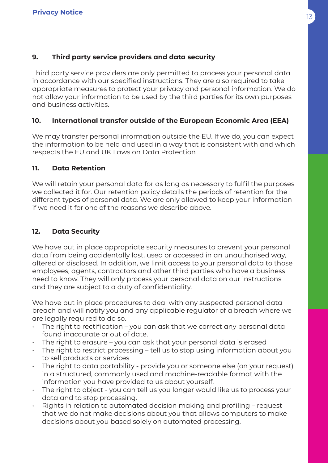# **9. Third party service providers and data security**

Third party service providers are only permitted to process your personal data in accordance with our specified instructions. They are also required to take appropriate measures to protect your privacy and personal information. We do not allow your information to be used by the third parties for its own purposes and business activities.

# **10. International transfer outside of the European Economic Area (EEA)**

We may transfer personal information outside the EU. If we do, you can expect the information to be held and used in a way that is consistent with and which respects the EU and UK Laws on Data Protection

# **11. Data Retention**

We will retain your personal data for as long as necessary to fulfil the purposes we collected it for. Our retention policy details the periods of retention for the different types of personal data. We are only allowed to keep your information if we need it for one of the reasons we describe above.

# **12. Data Security**

We have put in place appropriate security measures to prevent your personal data from being accidentally lost, used or accessed in an unauthorised way, altered or disclosed. In addition, we limit access to your personal data to those employees, agents, contractors and other third parties who have a business need to know. They will only process your personal data on our instructions and they are subject to a duty of confidentiality.

We have put in place procedures to deal with any suspected personal data breach and will notify you and any applicable regulator of a breach where we are legally required to do so.

- $\cdot$  The right to rectification you can ask that we correct any personal data found inaccurate or out of date.
- The right to erasure you can ask that your personal data is erased
- The right to restrict processing tell us to stop using information about you to sell products or services
- The right to data portability provide you or someone else (on your request) in a structured, commonly used and machine-readable format with the information you have provided to us about yourself.
- The right to object you can tell us you longer would like us to process your data and to stop processing.
- Rights in relation to automated decision making and profiling request that we do not make decisions about you that allows computers to make decisions about you based solely on automated processing.